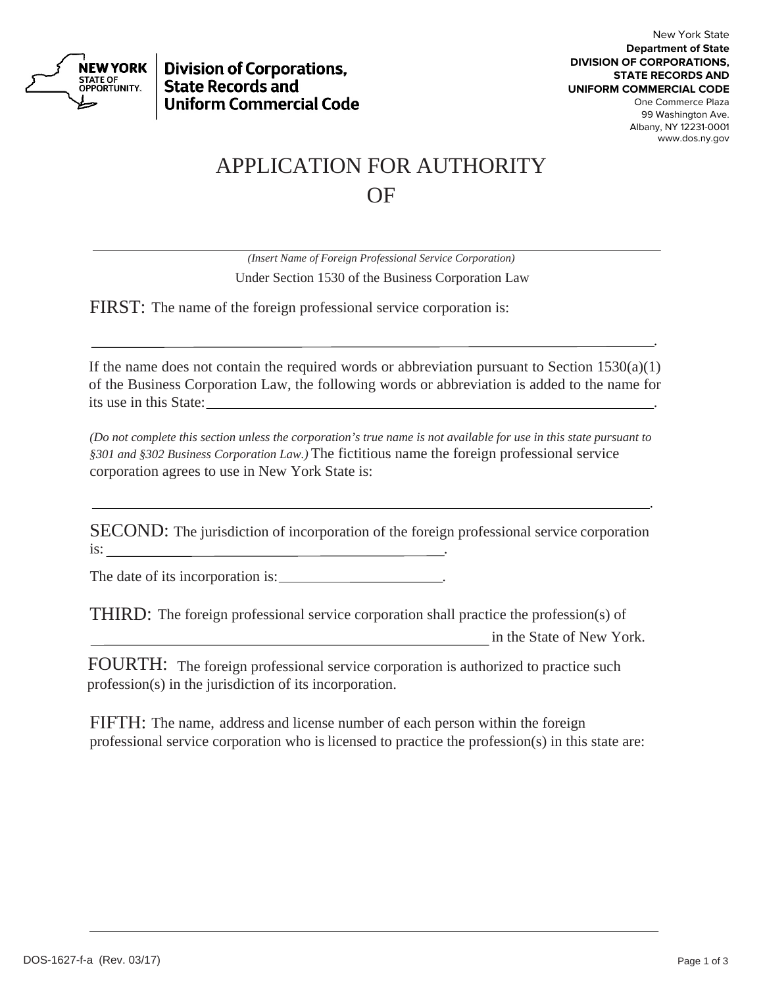

**Division of Corporations, State Records and Uniform Commercial Code** 

## APPLICATION FOR AUTHORITY OF

*(Insert Name of Foreign Professional Service Corporation)* Under Section 1530 of the Business Corporation Law

FIRST: The name of the foreign professional service corporation is:

<u>. Andre Stadt i den stadt i den stadt i den stadt i den stadt i den stadt i den stadt i den stadt i den stadt</u>

<u>. Andre Stadt and Stadt and Stadt and Stadt and Stadt and Stadt and Stadt and Stadt and Stadt and Stadt and S</u>

If the name does not contain the required words or abbreviation pursuant to Section  $1530(a)(1)$ of the Business Corporation Law, the following words or abbreviation is added to the name for its use in this State:

*(Do not complete this section unless the corporation's true name is not available for use in this state pursuant to §301 and §302 Business Corporation Law.)* The fictitious name the foreign professional service corporation agrees to use in New York State is:

SECOND: The jurisdiction of incorporation of the foreign professional service corporation is: .

The date of its incorporation is:

THIRD: The foreign professional service corporation shall practice the profession(s) of

in the State of New York.

 FOURTH: The foreign professional service corporation is authorized to practice such profession(s) in the jurisdiction of its incorporation.

FIFTH: The name, address and license number of each person within the foreign professional service corporation who is licensed to practice the profession(s) in this state are: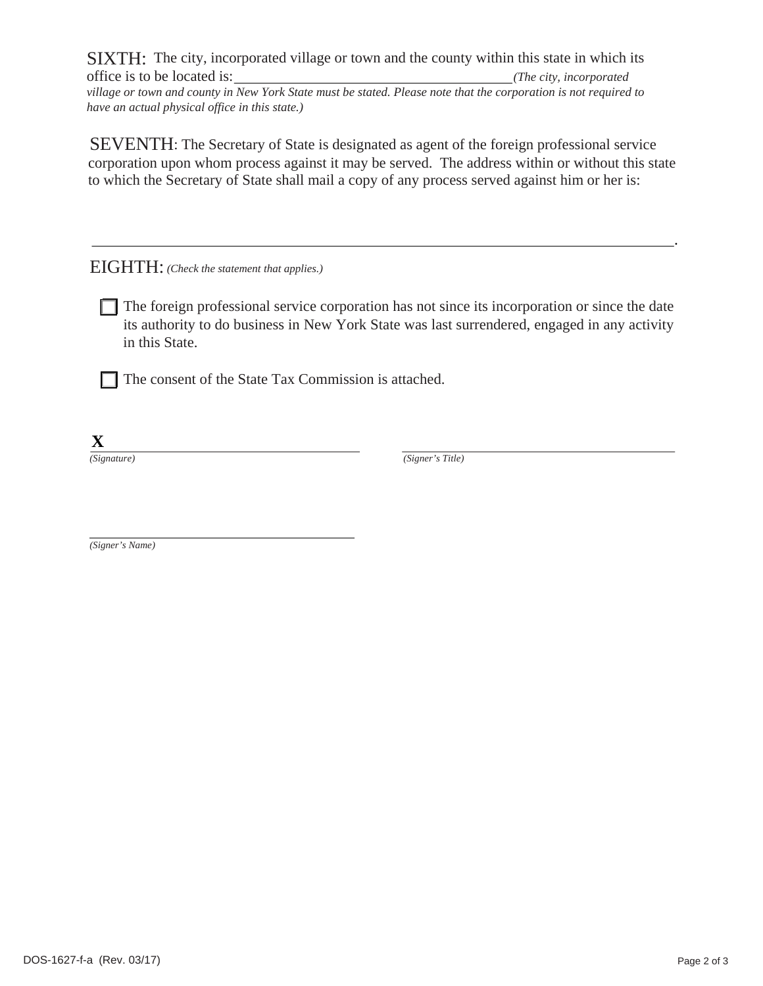SIXTH: The city, incorporated village or town and the county within this state in which its office is to be located is: *(The city, incorporated* 

*village or town and county in New York State must be stated. Please note that the corporation is not required to have an actual physical office in this state.)*

<u>. Andre Sammen and Sammen and Sammen and Sammen and Sammen and Sammen and Sammen and Sammen and Sammen and Sa</u>

SEVENTH: The Secretary of State is designated as agent of the foreign professional service corporation upon whom process against it may be served. The address within or without this state to which the Secretary of State shall mail a copy of any process served against him or her is:

EIGHTH: *(Check the statement that applies.)*

The foreign professional service corporation has not since its incorporation or since the date its authority to do business in New York State was last surrendered, engaged in any activity in this State.

 $\Box$  The consent of the State Tax Commission is attached.

**X**

*(Signature) (Signer's Title)*

*(Signer's Name)*